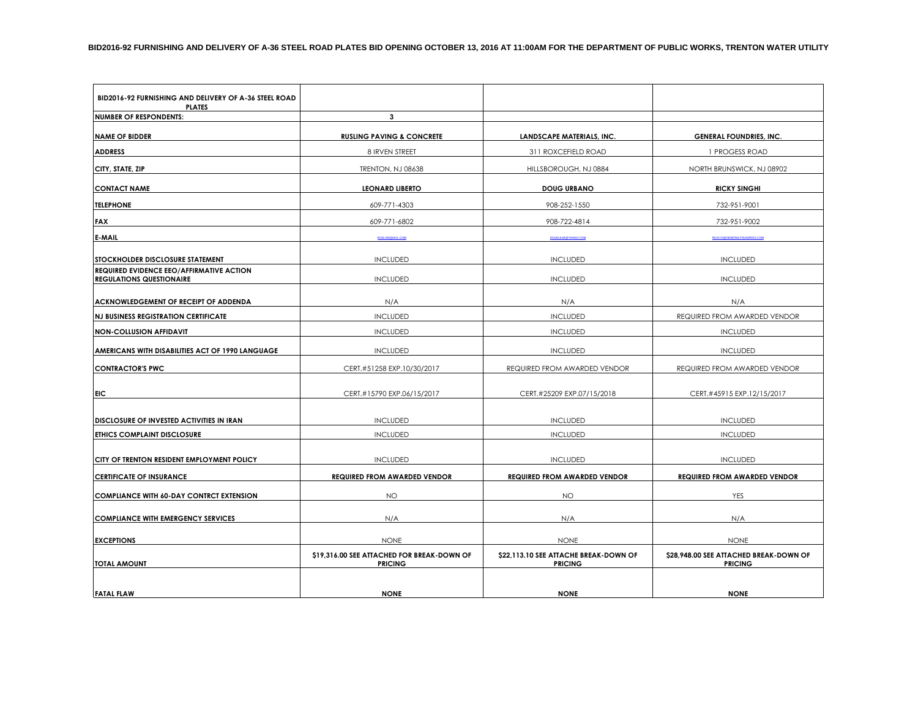| BID2016-92 FURNISHING AND DELIVERY OF A-36 STEEL ROAD<br><b>PLATES</b>             |                                            |                                       |                                        |  |
|------------------------------------------------------------------------------------|--------------------------------------------|---------------------------------------|----------------------------------------|--|
| <b>NUMBER OF RESPONDENTS:</b>                                                      | 3                                          |                                       |                                        |  |
| <b>NAME OF BIDDER</b>                                                              | <b>RUSLING PAVING &amp; CONCRETE</b>       | <b>LANDSCAPE MATERIALS, INC.</b>      | <b>GENERAL FOUNDRIES, INC.</b>         |  |
| <b>ADDRESS</b>                                                                     | 8 IRVEN STREET                             | 311 ROXCEFIELD ROAD                   | 1 PROGESS ROAD                         |  |
| CITY, STATE, ZIP                                                                   | TRENTON, NJ 08638                          | HILLSBOROUGH, NJ 0884                 | NORTH BRUNSWICK, NJ 08902              |  |
| <b>CONTACT NAME</b>                                                                | <b>LEONARD LIBERTO</b>                     | <b>DOUG URBANO</b>                    | <b>RICKY SINGHI</b>                    |  |
| <b>TELEPHONE</b>                                                                   | 609-771-4303                               | 908-252-1550                          | 732-951-9001                           |  |
| <b>FAX</b>                                                                         | 609-771-6802                               | 908-722-4814                          | 732-951-9002                           |  |
| E-MAIL                                                                             | <b>RUSLING@AOL.COM</b>                     | DOUGULMI@YAHOO.COM                    | RICKYS@GENERALFOUNDRIES.COM            |  |
| STOCKHOLDER DISCLOSURE STATEMENT                                                   | <b>INCLUDED</b>                            | <b>INCLUDED</b>                       | <b>INCLUDED</b>                        |  |
| <b>REQUIRED EVIDENCE EEO/AFFIRMATIVE ACTION</b><br><b>REGULATIONS QUESTIONAIRE</b> | <b>INCLUDED</b>                            | <b>INCLUDED</b>                       | <b>INCLUDED</b>                        |  |
| ACKNOWLEDGEMENT OF RECEIPT OF ADDENDA                                              | N/A                                        | N/A                                   | N/A                                    |  |
| <b>NJ BUSINESS REGISTRATION CERTIFICATE</b>                                        | <b>INCLUDED</b>                            | <b>INCLUDED</b>                       | REQUIRED FROM AWARDED VENDOR           |  |
| <b>NON-COLLUSION AFFIDAVIT</b>                                                     | <b>INCLUDED</b>                            | <b>INCLUDED</b>                       | <b>INCLUDED</b>                        |  |
| AMERICANS WITH DISABILITIES ACT OF 1990 LANGUAGE                                   | <b>INCLUDED</b>                            | <b>INCLUDED</b>                       | <b>INCLUDED</b>                        |  |
| <b>CONTRACTOR'S PWC</b>                                                            | CERT.#51258 EXP.10/30/2017                 | REQUIRED FROM AWARDED VENDOR          | REQUIRED FROM AWARDED VENDOR           |  |
| <b>FIC</b>                                                                         | CERT.#15790 EXP.06/15/2017                 | CERT.#25209 EXP.07/15/2018            | CERT.#45915 EXP.12/15/2017             |  |
| DISCLOSURE OF INVESTED ACTIVITIES IN IRAN                                          | <b>INCLUDED</b>                            | <b>INCLUDED</b>                       | <b>INCLUDED</b>                        |  |
| <b>ETHICS COMPLAINT DISCLOSURE</b>                                                 | <b>INCLUDED</b>                            | <b>INCLUDED</b>                       | <b>INCLUDED</b>                        |  |
| CITY OF TRENTON RESIDENT EMPLOYMENT POLICY                                         | <b>INCLUDED</b>                            | <b>INCLUDED</b>                       | <b>INCLUDED</b>                        |  |
| <b>CERTIFICATE OF INSURANCE</b>                                                    | <b>REQUIRED FROM AWARDED VENDOR</b>        | <b>REQUIRED FROM AWARDED VENDOR</b>   | <b>REQUIRED FROM AWARDED VENDOR</b>    |  |
| <b>COMPLIANCE WITH 60-DAY CONTRCT EXTENSION</b>                                    | <b>NO</b>                                  | <b>NO</b>                             | YES                                    |  |
| <b>COMPLIANCE WITH EMERGENCY SERVICES</b>                                          | N/A                                        | N/A                                   | N/A                                    |  |
| <b>EXCEPTIONS</b>                                                                  | <b>NONE</b>                                | <b>NONE</b>                           | <b>NONE</b>                            |  |
|                                                                                    | \$19,316.00 SEE ATTACHED FOR BREAK-DOWN OF | \$22,113.10 SEE ATTACHE BREAK-DOWN OF | \$28,948.00 SEE ATTACHED BREAK-DOWN OF |  |
| <b>TOTAL AMOUNT</b>                                                                | <b>PRICING</b>                             | <b>PRICING</b>                        | <b>PRICING</b>                         |  |
| <b>FATAL FLAW</b>                                                                  | <b>NONE</b>                                | <b>NONE</b>                           | <b>NONE</b>                            |  |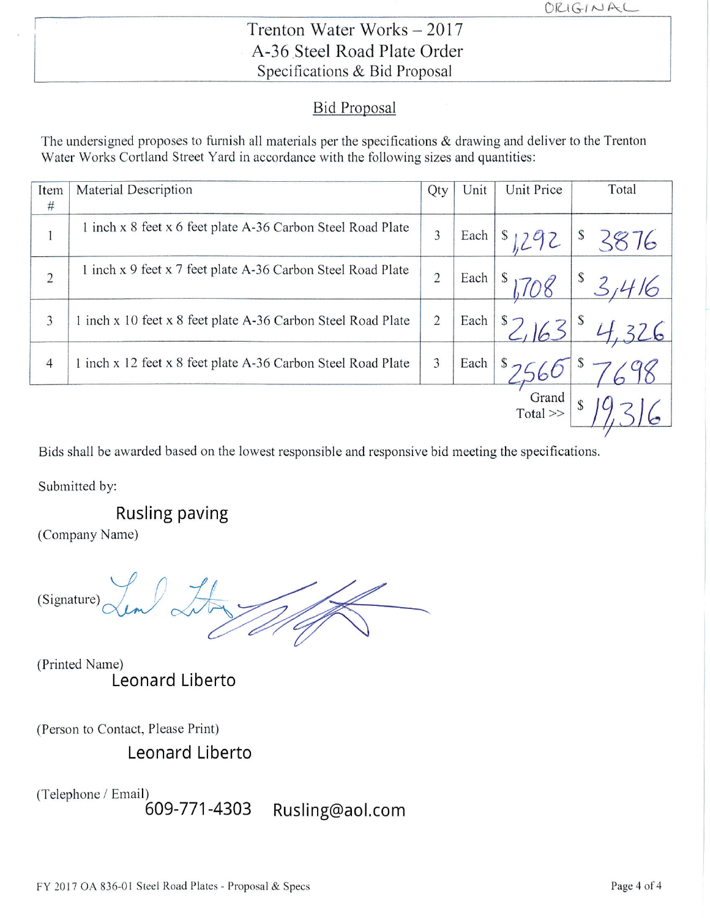# Trenton Water Works - 2017 A-36 Steel Road Plate Order Specifications & Bid Proposal

### **Bid Proposal**

The undersigned proposes to furnish all materials per the specifications & drawing and deliver to the Trenton Water Works Cortland Street Yard in accordance with the following sizes and quantities:

| Item<br>#      | Material Description                                         | Qty            | Unit | Unit Price     | Total      |
|----------------|--------------------------------------------------------------|----------------|------|----------------|------------|
| $\mathbf{r}$   | 1 inch x 8 feet x 6 feet plate A-36 Carbon Steel Road Plate  | 3              | Each | $s_{1292}$     | \$<br>3876 |
| $\overline{c}$ | 1 inch x 9 feet x 7 feet plate A-36 Carbon Steel Road Plate  | $\overline{2}$ | Each | \$             | \$         |
| 3              | 1 inch x 10 feet x 8 feet plate A-36 Carbon Steel Road Plate | $\overline{2}$ | Each | $s_{\supset}$  |            |
| $\overline{4}$ | 1 inch x 12 feet x 8 feet plate A-36 Carbon Steel Road Plate | 3              | Each | \$             |            |
|                |                                                              |                |      | Grand<br>Total |            |

Bids shall be awarded based on the lowest responsible and responsive bid meeting the specifications.

Submitted by:

**Rusling paving** 

(Company Name)

(Signature)

(Printed Name) Leonard Liberto

(Person to Contact, Please Print)

Leonard Liberto

(Telephone / Email)

609-771-4303 Rusling@aol.com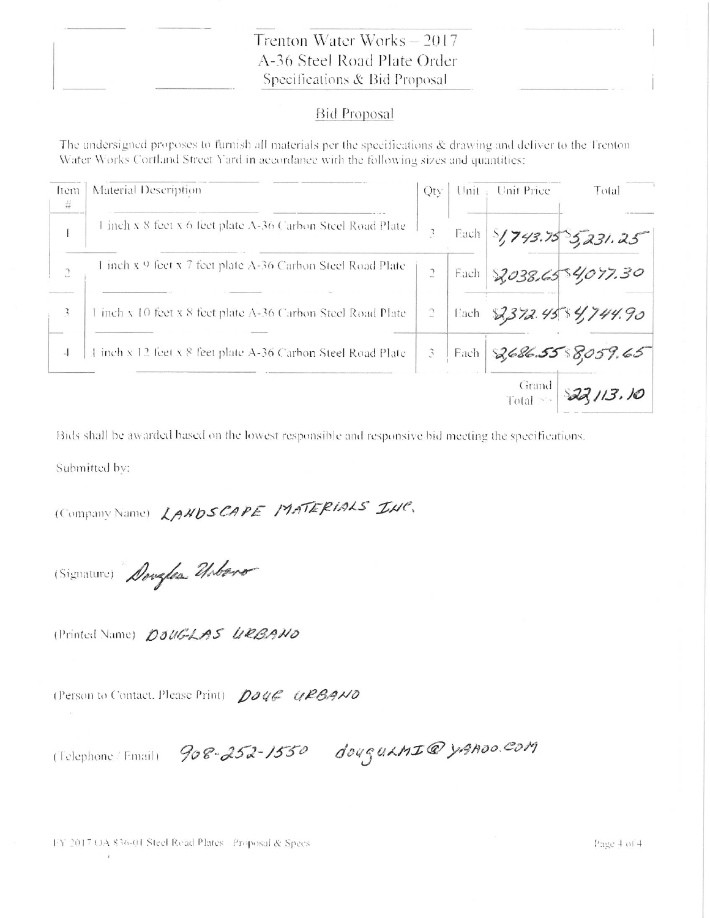### Trenton Water Works - 2017 A-36 Steel Road Plate Order Specifications & Bid Proposal

#### **Bid Proposal**

The undersigned proposes to furnish all materials per the specifications & drawing and deliver to the Trenton Water Works Cortland Street Yard in accordance with the following sizes and quantities:

| ftem<br>$\frac{11}{14}$ | Material Description                                         | Qty:                        | Unit $\frac{1}{2}$ | Unit Price           | Total                   |
|-------------------------|--------------------------------------------------------------|-----------------------------|--------------------|----------------------|-------------------------|
|                         | 1 inch x 8 feet x 6 feet plate A-36 Carbon Steel Road Plate  | 3                           | Each               |                      | $5/743.75$ $5731.25$    |
| $\overline{.}$          | 1 inch x 9 feet x 7 feet plate A-36 Carbon Steel Road Plate  |                             | Each               |                      | 2,038.6584,077.30       |
| 3                       | inch x 10 feet x 8 feet plate A-36 Carbon Steel Road Plate   | $\sqrt{2}$                  |                    |                      | Each 2372.45 \$4,744.90 |
| $\overline{1}$          | 1 inch x 12 feet x 8 feet plate A-36 Carbon Steel Road Plate | $\mathcal{L}_{\mathcal{L}}$ | Each               |                      | 2,686.55 8,059.65       |
|                         |                                                              |                             |                    | Grand<br>Total $\gg$ | 22,113.10               |

Bids shall be awarded based on the lowest responsible and responsive bid meeting the specifications.

Submitted by:

(Company Name) LAHDSCAPE MATERIALS INC.

(Signature) Douglas Usbaro

(Printed Name) DOUGLAS URBAND

(Person to Contact, Please Print) Doug URBANO

(Telephone Email) 908-252-1550 dougukmIQ yAROO.COM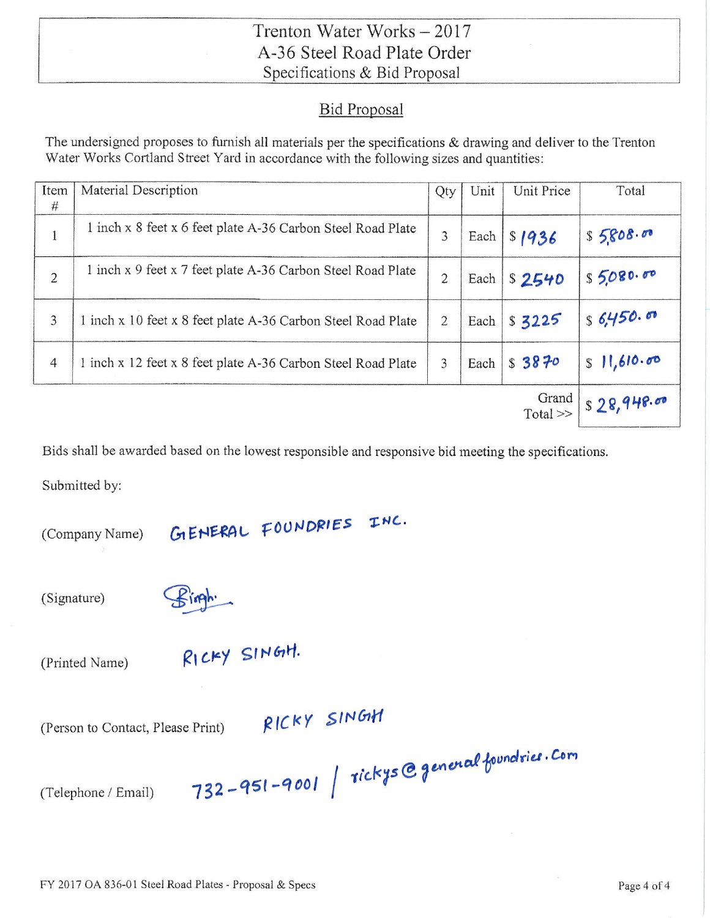## Trenton Water Works - 2017 A-36 Steel Road Plate Order Specifications & Bid Proposal

## **Bid Proposal**

The undersigned proposes to furnish all materials per the specifications  $\&$  drawing and deliver to the Trenton Water Works Cortland Street Yard in accordance with the following sizes and quantities:

| Item<br>#      | Material Description                                         | Qty            | Unit | Unit Price           | Total      |
|----------------|--------------------------------------------------------------|----------------|------|----------------------|------------|
| 1              | 1 inch x 8 feet x 6 feet plate A-36 Carbon Steel Road Plate  | 3              | Each | \$1936               | \$5808.00  |
| $\overline{c}$ | 1 inch x 9 feet x 7 feet plate A-36 Carbon Steel Road Plate  | $\overline{c}$ | Each | \$2540               | S5080.00   |
| 3              | 1 inch x 10 feet x 8 feet plate A-36 Carbon Steel Road Plate | $\overline{2}$ | Each | \$3225               | s6,450.00  |
| $\overline{4}$ | 1 inch x 12 feet x 8 feet plate A-36 Carbon Steel Road Plate | 3              | Each | \$3870               | S11,610.00 |
|                |                                                              |                |      | Grand<br>$Total \gg$ | s28,948.00 |

Bids shall be awarded based on the lowest responsible and responsive bid meeting the specifications.

INC.

Submitted by:

(Company Name)

(Signature)

(Printed Name)

RICKY SINGH.

GIENERAL FOUNDRIES

(Person to Contact, Please Print)

RICKY SINGH

(Telephone / Email)

732-951-9001 | rickys@generalfoundries. Com

FY 2017 OA 836-01 Steel Road Plates - Proposal & Specs